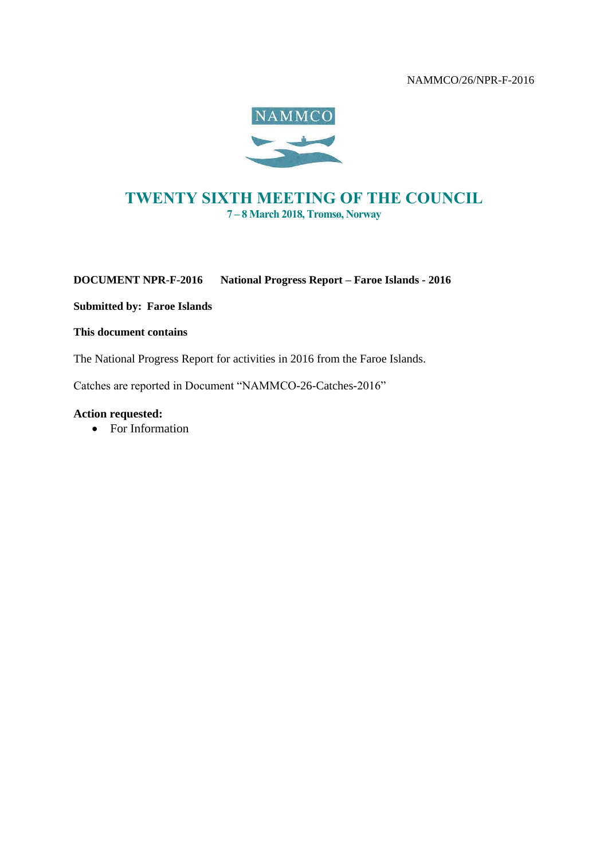#### NAMMCO/26/NPR-F-2016



# *TWENTY SIXTH MEETING OF THE COUNCIL 7 – 8 March 2018, Tromsø, Norway*

**DOCUMENT NPR-F-2016 National Progress Report – Faroe Islands - 2016**

**Submitted by: Faroe Islands**

#### **This document contains**

The National Progress Report for activities in 2016 from the Faroe Islands.

Catches are reported in Document "NAMMCO-26-Catches-2016"

#### **Action requested:**

• For Information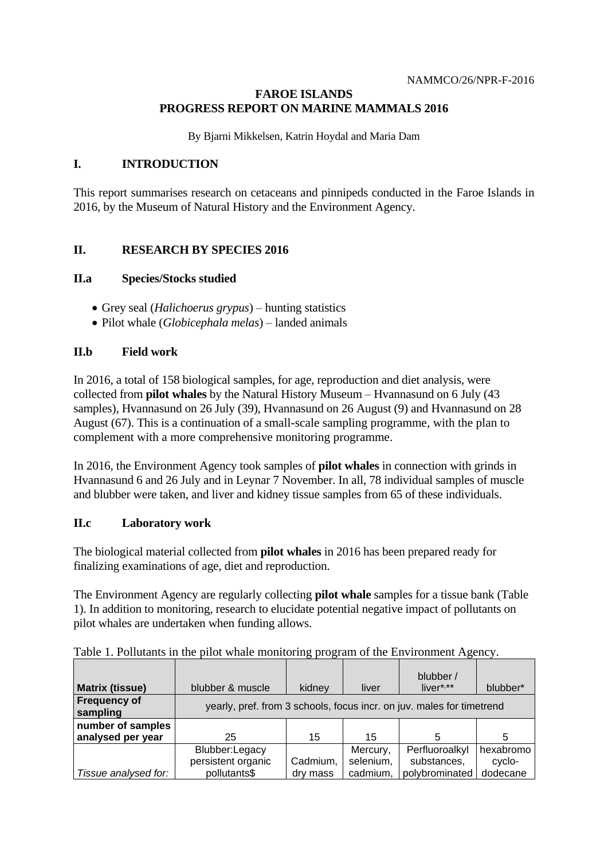#### **FAROE ISLANDS PROGRESS REPORT ON MARINE MAMMALS 2016**

By Bjarni Mikkelsen, Katrin Hoydal and Maria Dam

#### **I. INTRODUCTION**

This report summarises research on cetaceans and pinnipeds conducted in the Faroe Islands in 2016, by the Museum of Natural History and the Environment Agency.

## **II. RESEARCH BY SPECIES 2016**

#### **II.a Species/Stocks studied**

- Grey seal (*Halichoerus grypus*) hunting statistics
- Pilot whale (*Globicephala melas*) landed animals

#### **II.b Field work**

In 2016, a total of 158 biological samples, for age, reproduction and diet analysis, were collected from **pilot whales** by the Natural History Museum – Hvannasund on 6 July (43 samples), Hvannasund on 26 July (39), Hvannasund on 26 August (9) and Hvannasund on 28 August (67). This is a continuation of a small-scale sampling programme, with the plan to complement with a more comprehensive monitoring programme.

In 2016, the Environment Agency took samples of **pilot whales** in connection with grinds in Hvannasund 6 and 26 July and in Leynar 7 November. In all, 78 individual samples of muscle and blubber were taken, and liver and kidney tissue samples from 65 of these individuals.

#### **II.c Laboratory work**

The biological material collected from **pilot whales** in 2016 has been prepared ready for finalizing examinations of age, diet and reproduction.

The Environment Agency are regularly collecting **pilot whale** samples for a tissue bank (Table 1). In addition to monitoring, research to elucidate potential negative impact of pollutants on pilot whales are undertaken when funding allows.

| <b>Matrix (tissue)</b>          | blubber & muscle                                                      | kidney   | liver     | blubber /<br>$liver***$ | blubber*  |
|---------------------------------|-----------------------------------------------------------------------|----------|-----------|-------------------------|-----------|
| <b>Frequency of</b><br>sampling | yearly, pref. from 3 schools, focus incr. on juv. males for timetrend |          |           |                         |           |
| number of samples               |                                                                       |          |           |                         |           |
| analysed per year               | 25                                                                    | 15       | 15        |                         | 5         |
|                                 | Blubber:Legacy                                                        |          | Mercury,  | Perfluoroalkyl          | hexabromo |
|                                 | persistent organic                                                    | Cadmium, | selenium, | substances,             | cyclo-    |
| Tissue analysed for:            | pollutants\$                                                          | dry mass | cadmium,  | polybrominated          | dodecane  |

Table 1. Pollutants in the pilot whale monitoring program of the Environment Agency.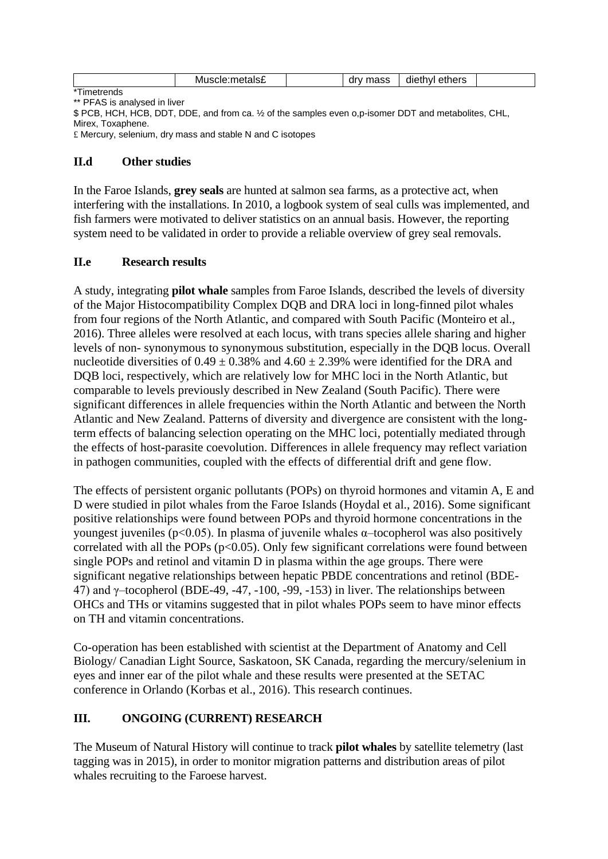|      | M | . | --- | $\cdot$<br>. .<br>- - -<br>.<br>าเค<br>יםוזב<br>$\mathbf{u}$<br>.<br>___ |  |
|------|---|---|-----|--------------------------------------------------------------------------|--|
| 1.77 |   |   |     |                                                                          |  |

\*Timetrends \*\* PFAS is analysed in liver

\$ PCB, HCH, HCB, DDT, DDE, and from ca. ½ of the samples even o,p-isomer DDT and metabolites, CHL, Mirex, Toxaphene.

£ Mercury, selenium, dry mass and stable N and C isotopes

#### **II.d Other studies**

In the Faroe Islands, **grey seals** are hunted at salmon sea farms, as a protective act, when interfering with the installations. In 2010, a logbook system of seal culls was implemented, and fish farmers were motivated to deliver statistics on an annual basis. However, the reporting system need to be validated in order to provide a reliable overview of grey seal removals.

## **II.e Research results**

A study, integrating **pilot whale** samples from Faroe Islands, described the levels of diversity of the Major Histocompatibility Complex DQB and DRA loci in long-finned pilot whales from four regions of the North Atlantic, and compared with South Pacific (Monteiro et al., 2016). Three alleles were resolved at each locus, with trans species allele sharing and higher levels of non- synonymous to synonymous substitution, especially in the DQB locus. Overall nucleotide diversities of  $0.49 \pm 0.38\%$  and  $4.60 \pm 2.39\%$  were identified for the DRA and DQB loci, respectively, which are relatively low for MHC loci in the North Atlantic, but comparable to levels previously described in New Zealand (South Pacific). There were significant differences in allele frequencies within the North Atlantic and between the North Atlantic and New Zealand. Patterns of diversity and divergence are consistent with the longterm effects of balancing selection operating on the MHC loci, potentially mediated through the effects of host-parasite coevolution. Differences in allele frequency may reflect variation in pathogen communities, coupled with the effects of differential drift and gene flow.

The effects of persistent organic pollutants (POPs) on thyroid hormones and vitamin A, E and D were studied in pilot whales from the Faroe Islands (Hoydal et al., 2016). Some significant positive relationships were found between POPs and thyroid hormone concentrations in the youngest juveniles (p<0.05). In plasma of juvenile whales α–tocopherol was also positively correlated with all the POPs  $(p<0.05)$ . Only few significant correlations were found between single POPs and retinol and vitamin D in plasma within the age groups. There were significant negative relationships between hepatic PBDE concentrations and retinol (BDE-47) and γ–tocopherol (BDE-49, -47, -100, -99, -153) in liver. The relationships between OHCs and THs or vitamins suggested that in pilot whales POPs seem to have minor effects on TH and vitamin concentrations.

Co-operation has been established with scientist at the Department of Anatomy and Cell Biology/ Canadian Light Source, Saskatoon, SK Canada, regarding the mercury/selenium in eyes and inner ear of the pilot whale and these results were presented at the SETAC conference in Orlando (Korbas et al., 2016). This research continues.

## **III. ONGOING (CURRENT) RESEARCH**

The Museum of Natural History will continue to track **pilot whales** by satellite telemetry (last tagging was in 2015), in order to monitor migration patterns and distribution areas of pilot whales recruiting to the Faroese harvest.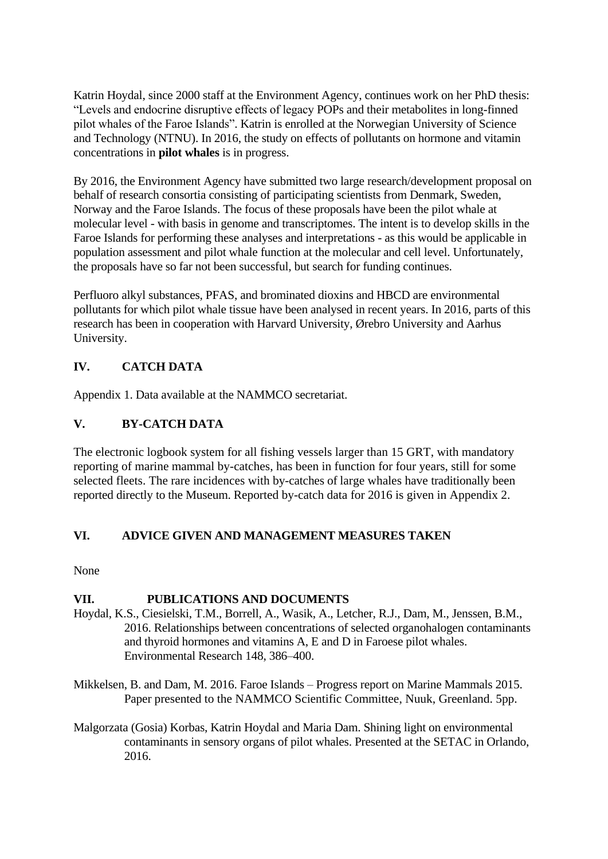Katrin Hoydal, since 2000 staff at the Environment Agency, continues work on her PhD thesis: "Levels and endocrine disruptive effects of legacy POPs and their metabolites in long-finned pilot whales of the Faroe Islands". Katrin is enrolled at the Norwegian University of Science and Technology (NTNU). In 2016, the study on effects of pollutants on hormone and vitamin concentrations in **pilot whales** is in progress.

By 2016, the Environment Agency have submitted two large research/development proposal on behalf of research consortia consisting of participating scientists from Denmark, Sweden, Norway and the Faroe Islands. The focus of these proposals have been the pilot whale at molecular level - with basis in genome and transcriptomes. The intent is to develop skills in the Faroe Islands for performing these analyses and interpretations - as this would be applicable in population assessment and pilot whale function at the molecular and cell level. Unfortunately, the proposals have so far not been successful, but search for funding continues.

Perfluoro alkyl substances, PFAS, and brominated dioxins and HBCD are environmental pollutants for which pilot whale tissue have been analysed in recent years. In 2016, parts of this research has been in cooperation with Harvard University, Ørebro University and Aarhus University.

# **IV. CATCH DATA**

Appendix 1. Data available at the NAMMCO secretariat.

## **V. BY-CATCH DATA**

The electronic logbook system for all fishing vessels larger than 15 GRT, with mandatory reporting of marine mammal by-catches, has been in function for four years, still for some selected fleets. The rare incidences with by-catches of large whales have traditionally been reported directly to the Museum. Reported by-catch data for 2016 is given in Appendix 2.

## **VI. ADVICE GIVEN AND MANAGEMENT MEASURES TAKEN**

None

## **VII. PUBLICATIONS AND DOCUMENTS**

- Hoydal, K.S., Ciesielski, T.M., Borrell, A., Wasik, A., Letcher, R.J., Dam, M., Jenssen, B.M., 2016. Relationships between concentrations of selected organohalogen contaminants and thyroid hormones and vitamins A, E and D in Faroese pilot whales. Environmental Research 148, 386–400.
- Mikkelsen, B. and Dam, M. 2016. Faroe Islands Progress report on Marine Mammals 2015. Paper presented to the NAMMCO Scientific Committee, Nuuk, Greenland. 5pp.
- Malgorzata (Gosia) Korbas, Katrin Hoydal and Maria Dam. Shining light on environmental contaminants in sensory organs of pilot whales. Presented at the SETAC in Orlando, 2016.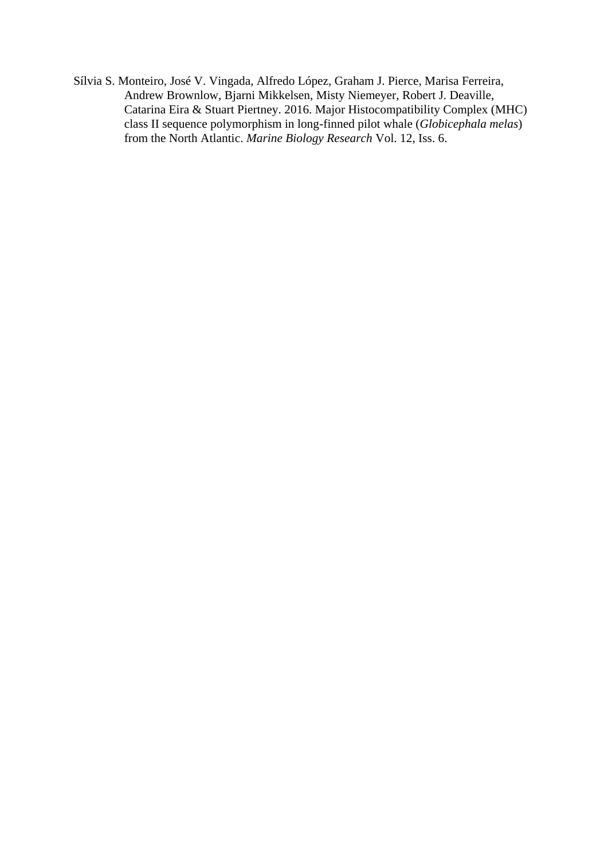Sílvia S. Monteiro, José V. Vingada, Alfredo López, Graham J. Pierce, Marisa Ferreira, Andrew Brownlow, Bjarni Mikkelsen, Misty Niemeyer, Robert J. Deaville, Catarina Eira & Stuart Piertney. 2016. [Major Histocompatibility Complex \(MHC\)](http://www.tandfonline.com/doi/full/10.1080/17451000.2016.1174266)  [class II sequence polymorphism in long-finned pilot whale \(](http://www.tandfonline.com/doi/full/10.1080/17451000.2016.1174266)*Globicephala melas*) [from the North Atlantic.](http://www.tandfonline.com/doi/full/10.1080/17451000.2016.1174266) *Marine Biology Research* Vol. 12, Iss. 6.